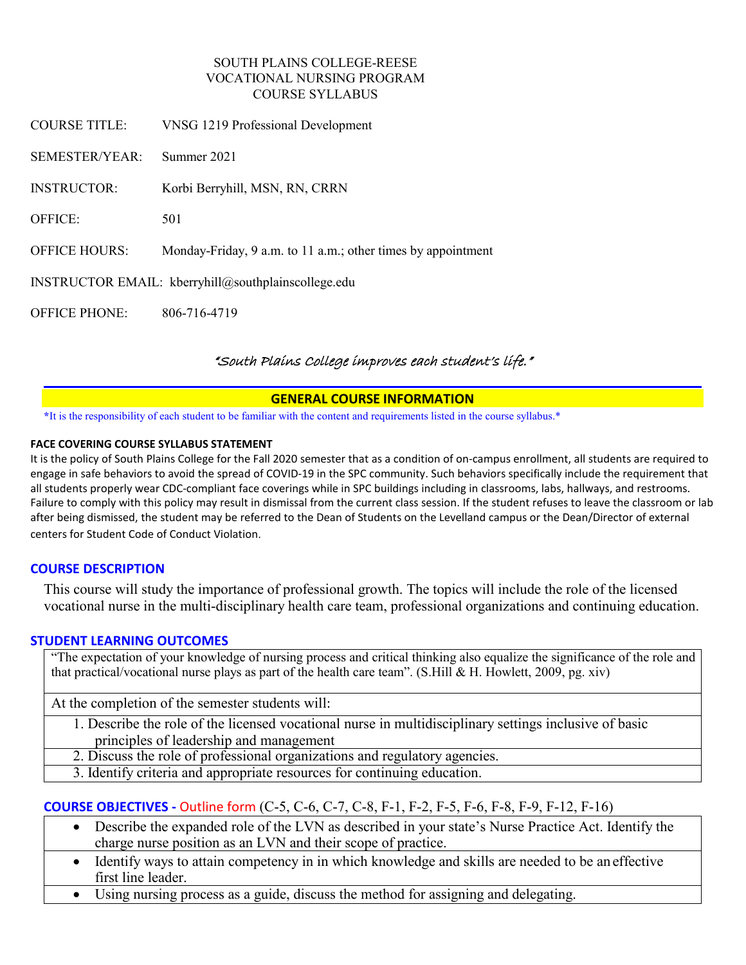### SOUTH PLAINS COLLEGE-REESE VOCATIONAL NURSING PROGRAM COURSE SYLLABUS

| <b>COURSE TITLE:</b>                                | VNSG 1219 Professional Development                           |  |
|-----------------------------------------------------|--------------------------------------------------------------|--|
| SEMESTER/YEAR:                                      | Summer 2021                                                  |  |
| <b>INSTRUCTOR:</b>                                  | Korbi Berryhill, MSN, RN, CRRN                               |  |
| <b>OFFICE:</b>                                      | 501                                                          |  |
| <b>OFFICE HOURS:</b>                                | Monday-Friday, 9 a.m. to 11 a.m.; other times by appointment |  |
| INSTRUCTOR EMAIL: kberryhill@southplainscollege.edu |                                                              |  |
| <b>OFFICE PHONE:</b>                                | 806-716-4719                                                 |  |

# "South Plains College improves each student's life."

### **GENERAL COURSE INFORMATION**

**\***It is the responsibility of each student to be familiar with the content and requirements listed in the course syllabus.\*

#### **FACE COVERING COURSE SYLLABUS STATEMENT**

It is the policy of South Plains College for the Fall 2020 semester that as a condition of on-campus enrollment, all students are required to engage in safe behaviors to avoid the spread of COVID-19 in the SPC community. Such behaviors specifically include the requirement that all students properly wear CDC-compliant face coverings while in SPC buildings including in classrooms, labs, hallways, and restrooms. Failure to comply with this policy may result in dismissal from the current class session. If the student refuses to leave the classroom or lab after being dismissed, the student may be referred to the Dean of Students on the Levelland campus or the Dean/Director of external centers for Student Code of Conduct Violation.

# **COURSE DESCRIPTION**

This course will study the importance of professional growth. The topics will include the role of the licensed vocational nurse in the multi-disciplinary health care team, professional organizations and continuing education.

### **STUDENT LEARNING OUTCOMES**

"The expectation of your knowledge of nursing process and critical thinking also equalize the significance of the role and that practical/vocational nurse plays as part of the health care team". (S.Hill & H. Howlett, 2009, pg. xiv)

At the completion of the semester students will:

1. Describe the role of the licensed vocational nurse in multidisciplinary settings inclusive of basic principles of leadership and management

- 2. Discuss the role of professional organizations and regulatory agencies.
- 3. Identify criteria and appropriate resources for continuing education.

# **COURSE OBJECTIVES -** Outline form (C-5, C-6, C-7, C-8, F-1, F-2, F-5, F-6, F-8, F-9, F-12, F-16)

- Describe the expanded role of the LVN as described in your state's Nurse Practice Act. Identify the charge nurse position as an LVN and their scope of practice.
- Identify ways to attain competency in in which knowledge and skills are needed to be an effective first line leader.
- Using nursing process as a guide, discuss the method for assigning and delegating.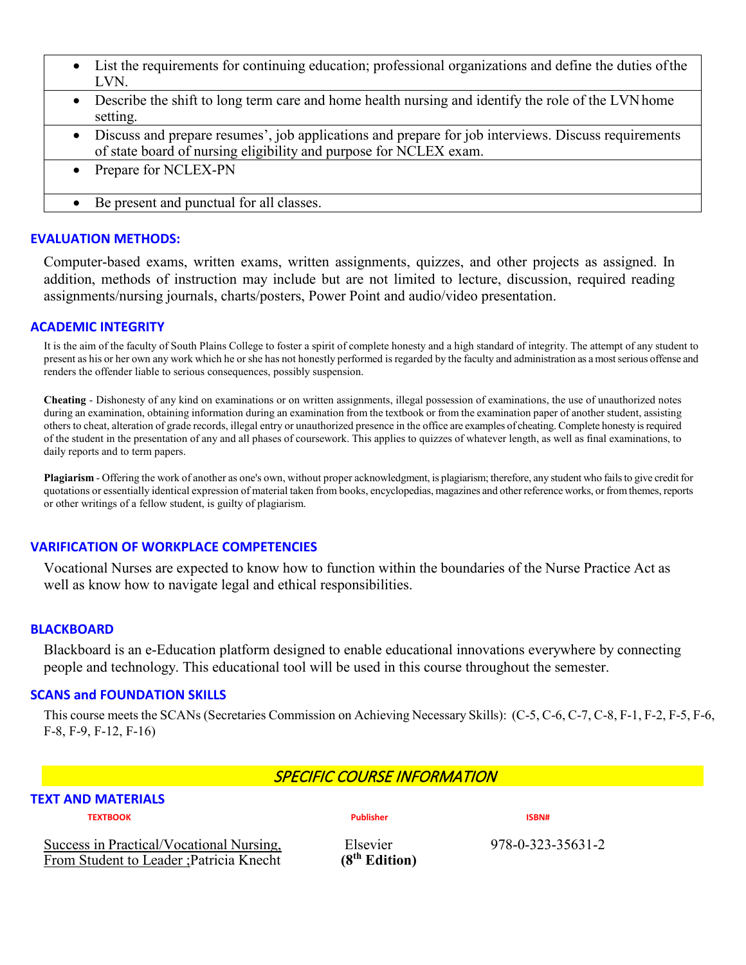- List the requirements for continuing education; professional organizations and define the duties ofthe LVN.
- Describe the shift to long term care and home health nursing and identify the role of the LVN home setting.
- Discuss and prepare resumes', job applications and prepare for job interviews. Discuss requirements of state board of nursing eligibility and purpose for NCLEX exam.
- Prepare for NCLEX-PN
- Be present and punctual for all classes.

### **EVALUATION METHODS:**

Computer-based exams, written exams, written assignments, quizzes, and other projects as assigned. In addition, methods of instruction may include but are not limited to lecture, discussion, required reading assignments/nursing journals, charts/posters, Power Point and audio/video presentation.

### **ACADEMIC INTEGRITY**

It is the aim of the faculty of South Plains College to foster a spirit of complete honesty and a high standard of integrity. The attempt of any student to present as his or her own any work which he or she has not honestly performed is regarded by the faculty and administration as a most serious offense and renders the offender liable to serious consequences, possibly suspension.

**Cheating** - Dishonesty of any kind on examinations or on written assignments, illegal possession of examinations, the use of unauthorized notes during an examination, obtaining information during an examination from the textbook or from the examination paper of another student, assisting others to cheat, alteration of grade records, illegal entry or unauthorized presence in the office are examples of cheating. Complete honesty is required of the student in the presentation of any and all phases of coursework. This applies to quizzes of whatever length, as well as final examinations, to daily reports and to term papers.

**Plagiarism** - Offering the work of another as one's own, without proper acknowledgment, is plagiarism; therefore, any student who fails to give credit for quotations or essentially identical expression of material taken from books, encyclopedias, magazines and other reference works, or from themes, reports or other writings of a fellow student, is guilty of plagiarism.

### **VARIFICATION OF WORKPLACE COMPETENCIES**

Vocational Nurses are expected to know how to function within the boundaries of the Nurse Practice Act as well as know how to navigate legal and ethical responsibilities.

### **BLACKBOARD**

Blackboard is an e-Education platform designed to enable educational innovations everywhere by connecting people and technology. This educational tool will be used in this course throughout the semester.

### **SCANS and FOUNDATION SKILLS**

This course meets the SCANs (Secretaries Commission on Achieving Necessary Skills): (C-5, C-6, C-7, C-8, F-1, F-2, F-5, F-6, F-8, F-9, F-12, F-16)

# SPECIFIC COURSE INFORMATION

# **TEXT AND MATERIALS**

**TEXTBOOK Publisher ISBN#**

Success in Practical/Vocational Nursing,<br>
From Student to Leader ; Patricia Knecht (8<sup>th</sup> Edition) 978-0-323-35631-2 From Student to Leader ; Patricia Knecht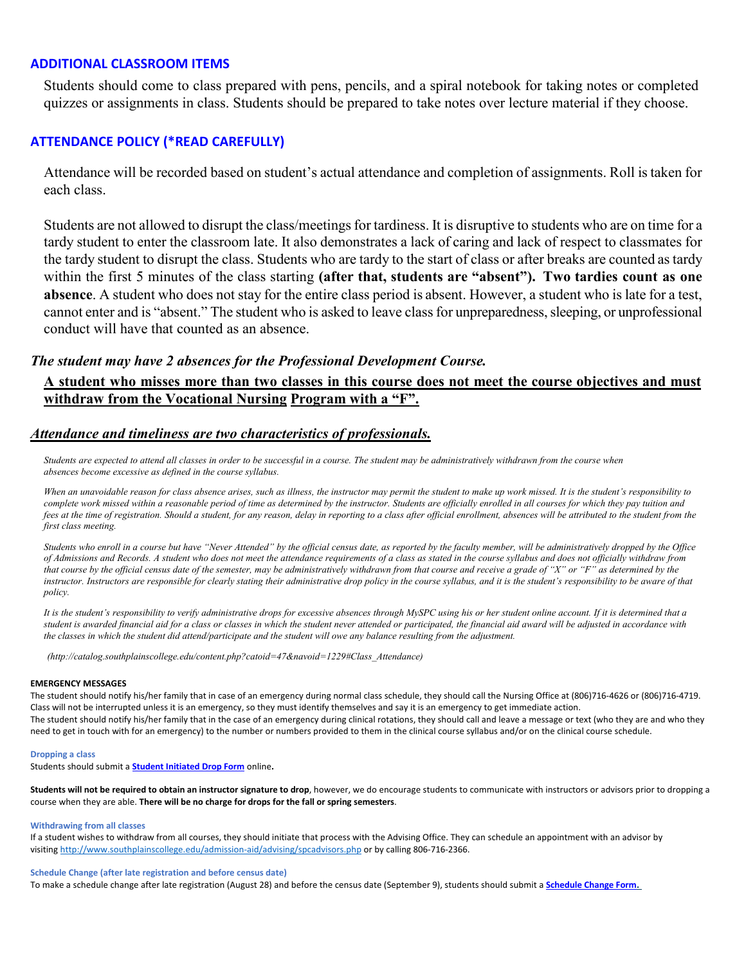#### **ADDITIONAL CLASSROOM ITEMS**

Students should come to class prepared with pens, pencils, and a spiral notebook for taking notes or completed quizzes or assignments in class. Students should be prepared to take notes over lecture material if they choose.

#### **ATTENDANCE POLICY (\*READ CAREFULLY)**

Attendance will be recorded based on student's actual attendance and completion of assignments. Roll is taken for each class.

Students are not allowed to disrupt the class/meetings for tardiness. It is disruptive to students who are on time for a tardy student to enter the classroom late. It also demonstrates a lack of caring and lack of respect to classmates for the tardy student to disrupt the class. Students who are tardy to the start of class or after breaks are counted astardy within the first 5 minutes of the class starting **(after that, students are "absent"). Two tardies count as one absence**. A student who does not stay for the entire class period is absent. However, a student who is late for a test, cannot enter and is "absent." The student who is asked to leave class for unpreparedness, sleeping, or unprofessional conduct will have that counted as an absence.

#### *The student may have 2 absences for the Professional Development Course.*

# **A student who misses more than two classes in this course does not meet the course objectives and must withdraw from the Vocational Nursing Program with a "F".**

#### *Attendance and timeliness are two characteristics of professionals.*

*Students are expected to attend all classes in order to be successful in a course. The student may be administratively withdrawn from the course when absences become excessive as defined in the course syllabus.*

*When an unavoidable reason for class absence arises, such as illness, the instructor may permit the student to make up work missed. It is the student's responsibility to complete work missed within a reasonable period of time as determined by the instructor. Students are officially enrolled in all courses for which they pay tuition and*  fees at the time of registration. Should a student, for any reason, delay in reporting to a class after official enrollment, absences will be attributed to the student from the *first class meeting.*

Students who enroll in a course but have "Never Attended" by the official census date, as reported by the faculty member, will be administratively dropped by the Office *of Admissions and Records. A student who does not meet the attendance requirements of a class as stated in the course syllabus and does not officially withdraw from that course by the official census date of the semester, may be administratively withdrawn from that course and receive a grade of "X" or "F" as determined by the instructor. Instructors are responsible for clearly stating their administrative drop policy in the course syllabus, and it is the student's responsibility to be aware of that policy.*

*It is the student's responsibility to verify administrative drops for excessive absences through MySPC using his or her student online account. If it is determined that a student is awarded financial aid for a class or classes in which the student never attended or participated, the financial aid award will be adjusted in accordance with the classes in which the student did attend/participate and the student will owe any balance resulting from the adjustment.*

*[\(http://catalog.southplainscollege.edu/content.php?catoid=47&navoid=1229#Class\\_Attendance\)](http://catalog.southplainscollege.edu/content.php?catoid=47&navoid=1229&Class_Attendance))*

#### **EMERGENCY MESSAGES**

The student should notify his/her family that in case of an emergency during normal class schedule, they should call the Nursing Office at (806)716-4626 or (806)716-4719. Class will not be interrupted unless it is an emergency, so they must identify themselves and say it is an emergency to get immediate action. The student should notify his/her family that in the case of an emergency during clinical rotations, they should call and leave a message or text (who they are and who they need to get in touch with for an emergency) to the number or numbers provided to them in the clinical course syllabus and/or on the clinical course schedule.

#### **Dropping a class**

Students should submit a **Student [Initiated](https://forms.office.com/Pages/ResponsePage.aspx?id=ZrGRbWrP6UWeIqAmJdCCqRkmPIpp6AVCixFJfcqITt9UODExTUFXS0JOODhJOTlYM0NEV1kzRk9GMS4u) Drop Form** online**.**

Students will not be required to obtain an instructor signature to drop, however, we do encourage students to communicate with instructors or advisors prior to dropping a course when they are able. **There will be no charge for drops for the fall or spring semesters**.

#### **Withdrawing from all classes**

If a student wishes to withdraw from all courses, they should initiate that process with the Advising Office. They can schedule an appointment with an advisor by visiting <http://www.southplainscollege.edu/admission-aid/advising/spcadvisors.php> or by calling 806-716-2366.

#### **Schedule Change (after late registration and before census date)**

To make a schedule change after late registration (August 28) and before the census date (September 9), students should submit a **[Schedule](https://forms.office.com/Pages/ResponsePage.aspx?id=ZrGRbWrP6UWeIqAmJdCCqRkmPIpp6AVCixFJfcqITt9UODIyTkRZSkFHVDNSVFRFV0g0T0tVWVAwRi4u) Change Form.**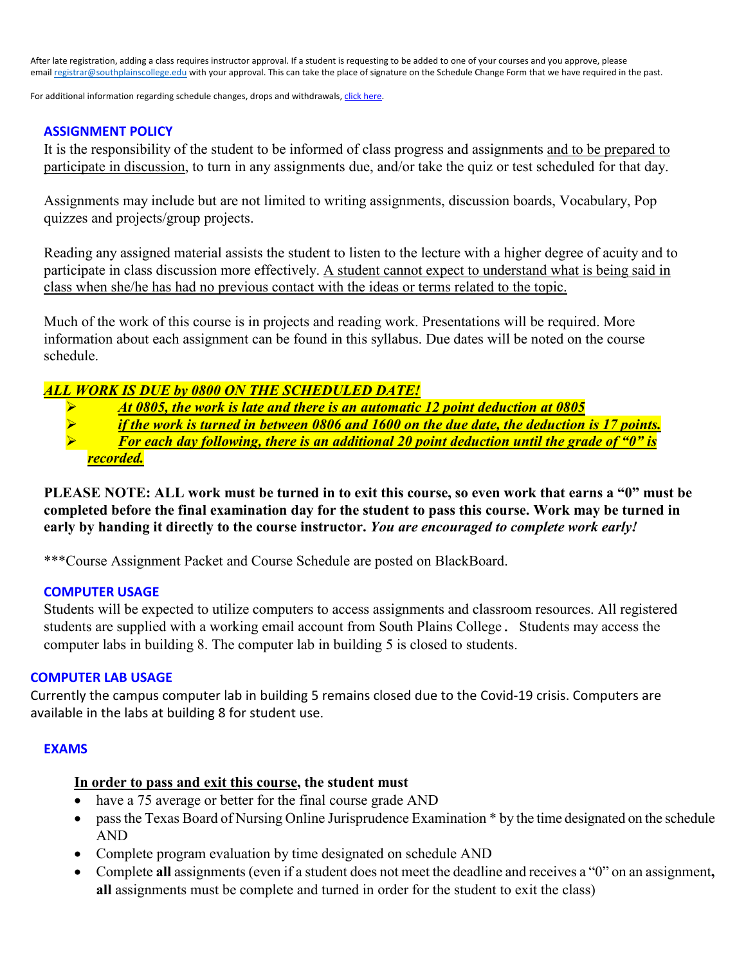After late registration, adding a class requires instructor approval. If a student is requesting to be added to one of your courses and you approve, please email [registrar@southplainscollege.edu](mailto:registrar@southplainscollege.edu) with your approval. This can take the place of signature on the Schedule Change Form that we have required in the past.

For additional information regarding schedule changes, drops and withdrawals, click [here.](http://www.southplainscollege.edu/admission-aid/apply/schedulechanges.php)

### **ASSIGNMENT POLICY**

It is the responsibility of the student to be informed of class progress and assignments and to be prepared to participate in discussion, to turn in any assignments due, and/or take the quiz or test scheduled for that day.

Assignments may include but are not limited to writing assignments, discussion boards, Vocabulary, Pop quizzes and projects/group projects.

Reading any assigned material assists the student to listen to the lecture with a higher degree of acuity and to participate in class discussion more effectively. A student cannot expect to understand what is being said in class when she/he has had no previous contact with the ideas or terms related to the topic.

Much of the work of this course is in projects and reading work. Presentations will be required. More information about each assignment can be found in this syllabus. Due dates will be noted on the course schedule.

# *ALL WORK IS DUE by 0800 ON THE SCHEDULED DATE!*

- *At 0805, the work is late and there is an automatic 12 point deduction at 0805*<br> *P if the work is turned in between 0806 and 1600 on the due date, the deduction*
- *if the work is turned in between 0806 and 1600 on the due date, the deduction is 17 points. For each day following, there is an additional 20 point deduction until the grade of "0" is recorded.*

# **PLEASE NOTE: ALL work must be turned in to exit this course, so even work that earns a "0" must be completed before the final examination day for the student to pass this course. Work may be turned in early by handing it directly to the course instructor.** *You are encouraged to complete work early!*

\*\*\*Course Assignment Packet and Course Schedule are posted on BlackBoard.

### **COMPUTER USAGE**

Students will be expected to utilize computers to access assignments and classroom resources. All registered students are supplied with a working email account from South Plains College. Students may access the computer labs in building 8. The computer lab in building 5 is closed to students.

### **COMPUTER LAB USAGE**

Currently the campus computer lab in building 5 remains closed due to the Covid-19 crisis. Computers are available in the labs at building 8 for student use.

### **EXAMS**

# **In order to pass and exit this course, the student must**

- have a 75 average or better for the final course grade AND
- pass the Texas Board of Nursing Online Jurisprudence Examination \* by the time designated on the schedule AND
- Complete program evaluation by time designated on schedule AND
- Complete **all** assignments (even if a student does not meet the deadline and receives a "0" on an assignment**, all** assignments must be complete and turned in order for the student to exit the class)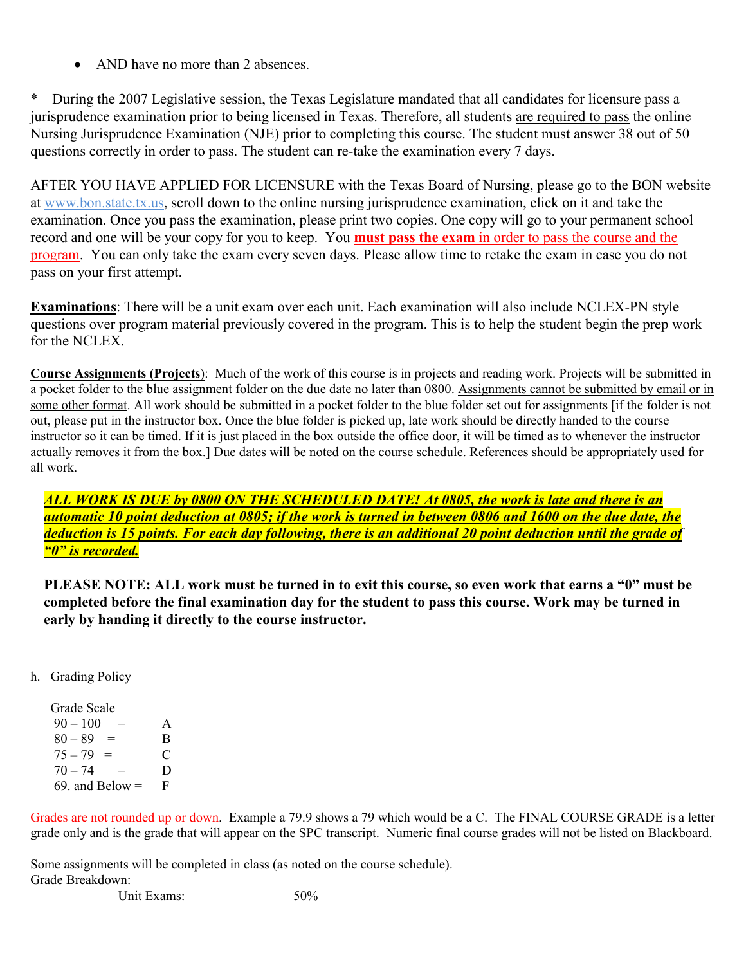• AND have no more than 2 absences.

During the 2007 Legislative session, the Texas Legislature mandated that all candidates for licensure pass a jurisprudence examination prior to being licensed in Texas. Therefore, all students are required to pass the online Nursing Jurisprudence Examination (NJE) prior to completing this course. The student must answer 38 out of 50 questions correctly in order to pass. The student can re-take the examination every 7 days.

AFTER YOU HAVE APPLIED FOR LICENSURE with the Texas Board of Nursing, please go to the BON website at www.bon.state.tx.us, scroll down to the online nursing jurisprudence examination, click on it and take the examination. Once you pass the examination, please print two copies. One copy will go to your permanent school record and one will be your copy for you to keep. You **must pass the exam** in order to pass the course and the program. You can only take the exam every seven days. Please allow time to retake the exam in case you do not pass on your first attempt.

**Examinations**: There will be a unit exam over each unit. Each examination will also include NCLEX-PN style questions over program material previously covered in the program. This is to help the student begin the prep work for the NCLEX.

**Course Assignments (Projects**): Much of the work of this course is in projects and reading work. Projects will be submitted in a pocket folder to the blue assignment folder on the due date no later than 0800. Assignments cannot be submitted by email or in some other format. All work should be submitted in a pocket folder to the blue folder set out for assignments [if the folder is not out, please put in the instructor box. Once the blue folder is picked up, late work should be directly handed to the course instructor so it can be timed. If it is just placed in the box outside the office door, it will be timed as to whenever the instructor actually removes it from the box.] Due dates will be noted on the course schedule. References should be appropriately used for all work.

*ALL WORK IS DUE by 0800 ON THE SCHEDULED DATE! At 0805, the work is late and there is an automatic 10 point deduction at 0805; if the work is turned in between 0806 and 1600 on the due date, the deduction is 15 points. For each day following, there is an additional 20 point deduction until the grade of "0" is recorded.* 

**PLEASE NOTE: ALL work must be turned in to exit this course, so even work that earns a "0" must be completed before the final examination day for the student to pass this course. Work may be turned in early by handing it directly to the course instructor.**

h. Grading Policy

 Grade Scale  $90 - 100 = A$  $80 - 89 = B$  $75 - 79 = C$  $70 - 74 = D$ 69. and Below  $=$  F

Grades are not rounded up or down. Example a 79.9 shows a 79 which would be a C. The FINAL COURSE GRADE is a letter grade only and is the grade that will appear on the SPC transcript. Numeric final course grades will not be listed on Blackboard.

Some assignments will be completed in class (as noted on the course schedule). Grade Breakdown:

Unit Exams: 50%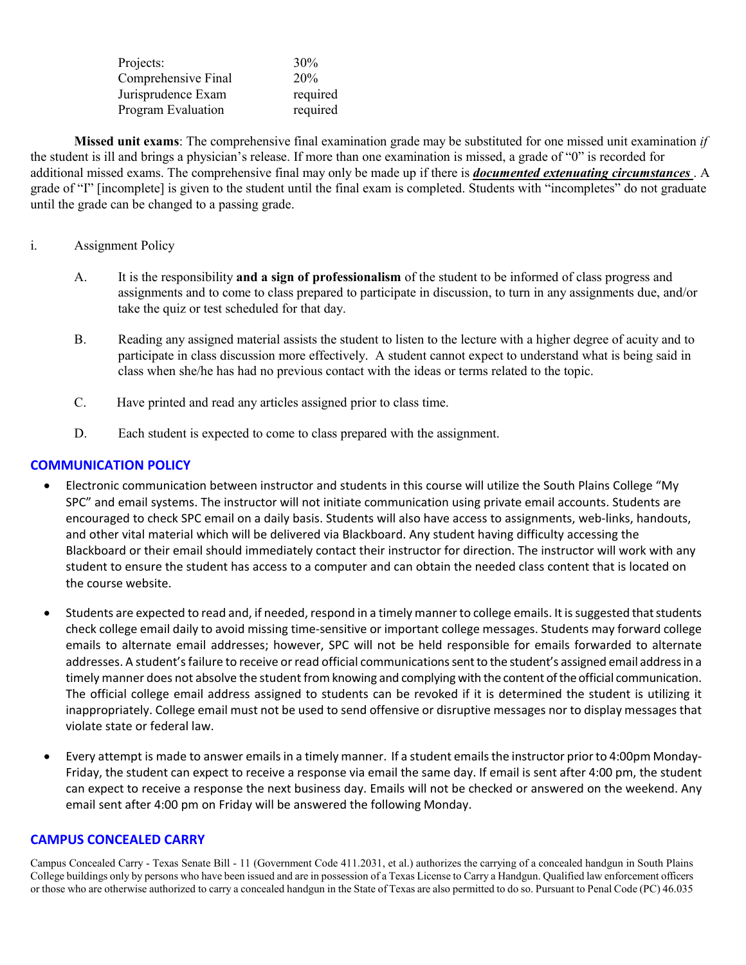| Projects:           | 30%      |
|---------------------|----------|
| Comprehensive Final | 20%      |
| Jurisprudence Exam  | required |
| Program Evaluation  | required |

**Missed unit exams**: The comprehensive final examination grade may be substituted for one missed unit examination *if* the student is ill and brings a physician's release. If more than one examination is missed, a grade of "0" is recorded for additional missed exams. The comprehensive final may only be made up if there is *documented extenuating circumstances* . A grade of "I" [incomplete] is given to the student until the final exam is completed. Students with "incompletes" do not graduate until the grade can be changed to a passing grade.

### i. Assignment Policy

- A. It is the responsibility **and a sign of professionalism** of the student to be informed of class progress and assignments and to come to class prepared to participate in discussion, to turn in any assignments due, and/or take the quiz or test scheduled for that day.
- B. Reading any assigned material assists the student to listen to the lecture with a higher degree of acuity and to participate in class discussion more effectively. A student cannot expect to understand what is being said in class when she/he has had no previous contact with the ideas or terms related to the topic.
- C. Have printed and read any articles assigned prior to class time.
- D. Each student is expected to come to class prepared with the assignment.

# **COMMUNICATION POLICY**

- Electronic communication between instructor and students in this course will utilize the South Plains College "My SPC" and email systems. The instructor will not initiate communication using private email accounts. Students are encouraged to check SPC email on a daily basis. Students will also have access to assignments, web-links, handouts, and other vital material which will be delivered via Blackboard. Any student having difficulty accessing the Blackboard or their email should immediately contact their instructor for direction. The instructor will work with any student to ensure the student has access to a computer and can obtain the needed class content that is located on the course website.
- Students are expected to read and, if needed, respond in a timely manner to college emails. It is suggested that students check college email daily to avoid missing time-sensitive or important college messages. Students may forward college emails to alternate email addresses; however, SPC will not be held responsible for emails forwarded to alternate addresses. A student's failure to receive or read official communications sent to the student's assigned email address in a timely manner does not absolve the student from knowing and complying with the content of the official communication. The official college email address assigned to students can be revoked if it is determined the student is utilizing it inappropriately. College email must not be used to send offensive or disruptive messages nor to display messages that violate state or federal law.
- Every attempt is made to answer emailsin a timely manner. If a student emailsthe instructor priorto 4:00pm Monday-Friday, the student can expect to receive a response via email the same day. If email is sent after 4:00 pm, the student can expect to receive a response the next business day. Emails will not be checked or answered on the weekend. Any email sent after 4:00 pm on Friday will be answered the following Monday.

# **CAMPUS CONCEALED CARRY**

Campus Concealed Carry - Texas Senate Bill - 11 (Government Code 411.2031, et al.) authorizes the carrying of a concealed handgun in South Plains College buildings only by persons who have been issued and are in possession of a Texas License to Carry a Handgun. Qualified law enforcement officers or those who are otherwise authorized to carry a concealed handgun in the State of Texas are also permitted to do so. Pursuant to Penal Code (PC) 46.035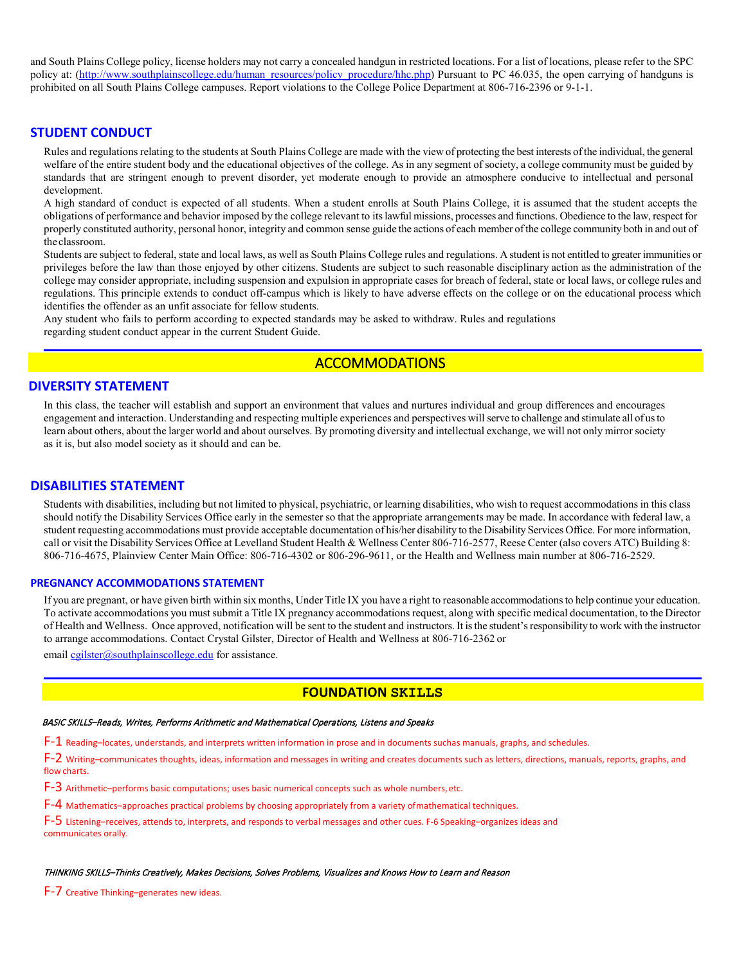and South Plains College policy, license holders may not carry a concealed handgun in restricted locations. For a list of locations, please refer to the SPC policy at: [\(http://www.southplainscollege.edu/human\\_resources/policy\\_procedure/hhc.php\)](http://www.southplainscollege.edu/human_resources/policy_procedure/hhc.php) Pursuant to PC 46.035, the open carrying of handguns is prohibited on all South Plains College campuses. Report violations to the College Police Department at 806-716-2396 or 9-1-1.

#### **STUDENT CONDUCT**

Rules and regulations relating to the students at South Plains College are made with the view of protecting the best interests of the individual, the general welfare of the entire student body and the educational objectives of the college. As in any segment of society, a college community must be guided by standards that are stringent enough to prevent disorder, yet moderate enough to provide an atmosphere conducive to intellectual and personal development.

A high standard of conduct is expected of all students. When a student enrolls at South Plains College, it is assumed that the student accepts the obligations of performance and behavior imposed by the college relevant to its lawful missions, processes and functions. Obedience to the law, respect for properly constituted authority, personal honor, integrity and common sense guide the actions of each member of the college community both in and out of the classroom.

Students are subject to federal, state and local laws, as well as South Plains College rules and regulations. A student is not entitled to greater immunities or privileges before the law than those enjoyed by other citizens. Students are subject to such reasonable disciplinary action as the administration of the college may consider appropriate, including suspension and expulsion in appropriate cases for breach of federal, state or local laws, or college rules and regulations. This principle extends to conduct off-campus which is likely to have adverse effects on the college or on the educational process which identifies the offender as an unfit associate for fellow students.

Any student who fails to perform according to expected standards may be asked to withdraw. Rules and regulations regarding student conduct appear in the current Student Guide.

### ACCOMMODATIONS

#### **DIVERSITY STATEMENT**

In this class, the teacher will establish and support an environment that values and nurtures individual and group differences and encourages engagement and interaction. Understanding and respecting multiple experiences and perspectives will serve to challenge and stimulate all of usto learn about others, about the larger world and about ourselves. By promoting diversity and intellectual exchange, we will not only mirror society as it is, but also model society as it should and can be.

#### **DISABILITIES STATEMENT**

Students with disabilities, including but not limited to physical, psychiatric, or learning disabilities, who wish to request accommodations in this class should notify the Disability Services Office early in the semester so that the appropriate arrangements may be made. In accordance with federal law, a student requesting accommodations must provide acceptable documentation of his/her disability to the Disability Services Office. For more information, call or visit the Disability Services Office at Levelland Student Health & Wellness Center 806-716-2577, Reese Center (also covers ATC) Building 8: 806-716-4675, Plainview Center Main Office: 806-716-4302 or 806-296-9611, or the Health and Wellness main number at 806-716-2529.

#### **PREGNANCY ACCOMMODATIONS STATEMENT**

If you are pregnant, or have given birth within six months, Under Title IX you have a right to reasonable accommodations to help continue your education. To activate accommodations you must submit a Title IX pregnancy accommodations request, along with specific medical documentation, to the Director of Health and Wellness. Once approved, notification will be sent to the student and instructors. It is the student's responsibility to work with the instructor to arrange accommodations. Contact Crystal Gilster, Director of Health and Wellness at 806-716-2362 or

email [cgilster@southplainscollege.edu](mailto:cgilster@southplainscollege.edu) for assistance.

#### **FOUNDATION SKILLS**

#### BASIC SKILLS–Reads, Writes, Performs Arithmetic and Mathematical Operations, Listens and Speaks

 $F-1$  Reading–locates, understands, and interprets written information in prose and in documents suchas manuals, graphs, and schedules.

F-2 Writing–communicates thoughts, ideas, information and messages in writing and creates documents such as letters, directions, manuals, reports, graphs, and flow charts.

F-3 Arithmetic–performs basic computations; uses basic numerical concepts such as whole numbers,etc.

F-4 Mathematics–approaches practical problems by choosing appropriately from a variety ofmathematical techniques.

F-5 Listening–receives, attends to, interprets, and responds to verbal messages and other cues. F-6 Speaking–organizes ideas and communicates orally.

#### THINKING SKILLS–Thinks Creatively, Makes Decisions, Solves Problems, Visualizes and Knows How to Learn and Reason

F-7 Creative Thinking–generates new ideas.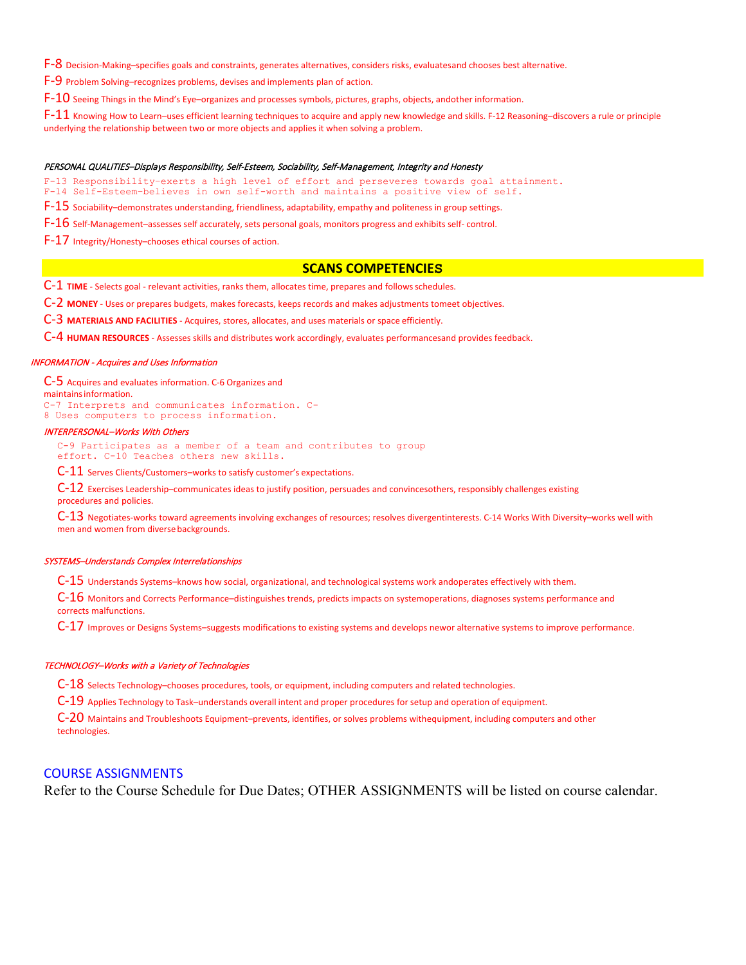F-8 Decision-Making–specifies goals and constraints, generates alternatives, considers risks, evaluatesand chooses best alternative.

F-9 Problem Solving–recognizes problems, devises and implements plan of action.

F-10 Seeing Things in the Mind's Eye-organizes and processes symbols, pictures, graphs, objects, andother information.

 $F-11$  Knowing How to Learn–uses efficient learning techniques to acquire and apply new knowledge and skills. F-12 Reasoning–discovers a rule or principle underlying the relationship between two or more objects and applies it when solving a problem.

#### PERSONAL QUALITIES–Displays Responsibility, Self-Esteem, Sociability, Self-Management, Integrity and Honesty

F-13 Responsibility–exerts a high level of effort and perseveres towards goal attainment.

F-14 Self-Esteem–believes in own self-worth and maintains a positive view of self.

F-15 Sociability–demonstrates understanding, friendliness, adaptability, empathy and politeness in group settings.

F-16 Self-Management–assesses self accurately, sets personal goals, monitors progress and exhibits self- control.

F-17 Integrity/Honesty–chooses ethical courses of action.

#### **SCANS COMPETENCIES**

C-1 **TIME** - Selects goal - relevant activities, ranks them, allocates time, prepares and followsschedules.

C-2 **MONEY** - Uses or prepares budgets, makes forecasts, keeps records and makes adjustments tomeet objectives.

C-3 **MATERIALS AND FACILITIES** - Acquires, stores, allocates, and uses materials or space efficiently.

C-4 **HUMAN RESOURCES** - Assesses skills and distributes work accordingly, evaluates performancesand provides feedback.

#### INFORMATION - Acquires and Uses Information

C-5 Acquires and evaluates information. C-6 Organizes and maintainsinformation. C-7 Interprets and communicates information. C-8 Uses computers to process information.

#### INTERPERSONAL–Works With Others

C-9 Participates as a member of a team and contributes to group effort. C-10 Teaches others new skills.

C-11 Serves Clients/Customers–works to satisfy customer's expectations.

 $C$ -12 Exercises Leadership–communicates ideas to justify position, persuades and convincesothers, responsibly challenges existing procedures and policies.

 $C$ -13 Negotiates-works toward agreements involving exchanges of resources; resolves divergentinterests. C-14 Works With Diversity–works well with men and women from diversebackgrounds.

#### SYSTEMS–Understands Complex Interrelationships

C-15 Understands Systems–knows how social, organizational, and technological systems work andoperates effectively with them.

 $C$ -16 Monitors and Corrects Performance–distinguishes trends, predicts impacts on systemoperations, diagnoses systems performance and corrects malfunctions.

 $C-17$  Improves or Designs Systems–suggests modifications to existing systems and develops newor alternative systems to improve performance.

#### TECHNOLOGY–Works with a Variety of Technologies

 $C-18$  Selects Technology–chooses procedures, tools, or equipment, including computers and related technologies.

C-19 Applies Technology to Task–understands overall intent and proper procedures for setup and operation of equipment.

C-20 Maintains and Troubleshoots Equipment–prevents, identifies, or solves problems withequipment, including computers and other technologies.

#### COURSE ASSIGNMENTS

Refer to the Course Schedule for Due Dates; OTHER ASSIGNMENTS will be listed on course calendar.